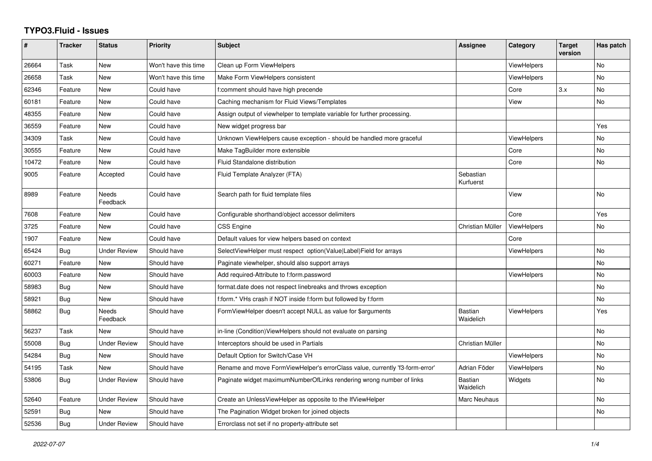## **TYPO3.Fluid - Issues**

| #     | <b>Tracker</b> | <b>Status</b>            | <b>Priority</b>      | <b>Subject</b>                                                               | Assignee                    | Category           | <b>Target</b><br>version | Has patch |
|-------|----------------|--------------------------|----------------------|------------------------------------------------------------------------------|-----------------------------|--------------------|--------------------------|-----------|
| 26664 | Task           | New                      | Won't have this time | Clean up Form ViewHelpers                                                    |                             | <b>ViewHelpers</b> |                          | No        |
| 26658 | Task           | New                      | Won't have this time | Make Form ViewHelpers consistent                                             |                             | ViewHelpers        |                          | <b>No</b> |
| 62346 | Feature        | New                      | Could have           | f:comment should have high precende                                          |                             | Core               | 3.x                      | <b>No</b> |
| 60181 | Feature        | <b>New</b>               | Could have           | Caching mechanism for Fluid Views/Templates                                  |                             | View               |                          | <b>No</b> |
| 48355 | Feature        | New                      | Could have           | Assign output of viewhelper to template variable for further processing.     |                             |                    |                          |           |
| 36559 | Feature        | New                      | Could have           | New widget progress bar                                                      |                             |                    |                          | Yes       |
| 34309 | Task           | New                      | Could have           | Unknown ViewHelpers cause exception - should be handled more graceful        |                             | <b>ViewHelpers</b> |                          | No        |
| 30555 | Feature        | New                      | Could have           | Make TagBuilder more extensible                                              |                             | Core               |                          | No        |
| 10472 | Feature        | <b>New</b>               | Could have           | <b>Fluid Standalone distribution</b>                                         |                             | Core               |                          | <b>No</b> |
| 9005  | Feature        | Accepted                 | Could have           | Fluid Template Analyzer (FTA)                                                | Sebastian<br>Kurfuerst      |                    |                          |           |
| 8989  | Feature        | <b>Needs</b><br>Feedback | Could have           | Search path for fluid template files                                         |                             | View               |                          | <b>No</b> |
| 7608  | Feature        | New                      | Could have           | Configurable shorthand/object accessor delimiters                            |                             | Core               |                          | Yes       |
| 3725  | Feature        | New                      | Could have           | <b>CSS Engine</b>                                                            | Christian Müller            | <b>ViewHelpers</b> |                          | No        |
| 1907  | Feature        | New                      | Could have           | Default values for view helpers based on context                             |                             | Core               |                          |           |
| 65424 | <b>Bug</b>     | <b>Under Review</b>      | Should have          | SelectViewHelper must respect option(Value Label)Field for arrays            |                             | <b>ViewHelpers</b> |                          | <b>No</b> |
| 60271 | Feature        | New                      | Should have          | Paginate viewhelper, should also support arrays                              |                             |                    |                          | No        |
| 60003 | Feature        | New                      | Should have          | Add required-Attribute to f:form.password                                    |                             | <b>ViewHelpers</b> |                          | <b>No</b> |
| 58983 | Bug            | New                      | Should have          | format.date does not respect linebreaks and throws exception                 |                             |                    |                          | No        |
| 58921 | <b>Bug</b>     | New                      | Should have          | f:form.* VHs crash if NOT inside f:form but followed by f:form               |                             |                    |                          | <b>No</b> |
| 58862 | Bug            | Needs<br>Feedback        | Should have          | FormViewHelper doesn't accept NULL as value for \$arguments                  | <b>Bastian</b><br>Waidelich | <b>ViewHelpers</b> |                          | Yes       |
| 56237 | Task           | <b>New</b>               | Should have          | in-line (Condition) View Helpers should not evaluate on parsing              |                             |                    |                          | <b>No</b> |
| 55008 | Bug            | <b>Under Review</b>      | Should have          | Interceptors should be used in Partials                                      | Christian Müller            |                    |                          | <b>No</b> |
| 54284 | <b>Bug</b>     | New                      | Should have          | Default Option for Switch/Case VH                                            |                             | <b>ViewHelpers</b> |                          | No        |
| 54195 | Task           | New                      | Should have          | Rename and move FormViewHelper's errorClass value, currently 'f3-form-error' | Adrian Föder                | <b>ViewHelpers</b> |                          | No        |
| 53806 | Bug            | <b>Under Review</b>      | Should have          | Paginate widget maximumNumberOfLinks rendering wrong number of links         | <b>Bastian</b><br>Waidelich | Widgets            |                          | <b>No</b> |
| 52640 | Feature        | <b>Under Review</b>      | Should have          | Create an UnlessViewHelper as opposite to the IfViewHelper                   | Marc Neuhaus                |                    |                          | No        |
| 52591 | Bug            | New                      | Should have          | The Pagination Widget broken for joined objects                              |                             |                    |                          | <b>No</b> |
| 52536 | Bug            | <b>Under Review</b>      | Should have          | Errorclass not set if no property-attribute set                              |                             |                    |                          |           |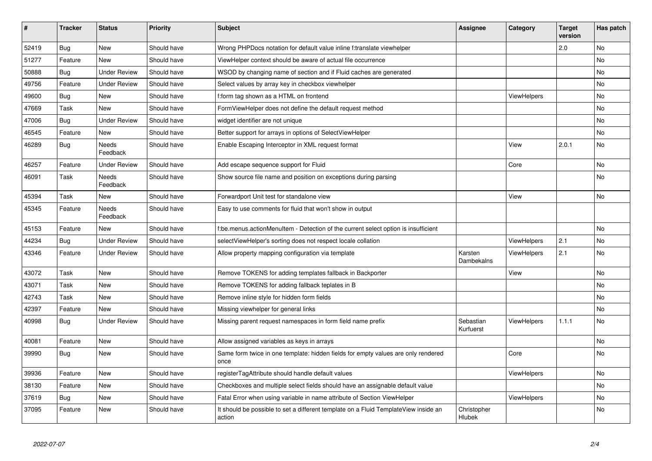| #     | <b>Tracker</b> | <b>Status</b>            | <b>Priority</b> | <b>Subject</b>                                                                                | Assignee               | Category           | <b>Target</b><br>version | Has patch |
|-------|----------------|--------------------------|-----------------|-----------------------------------------------------------------------------------------------|------------------------|--------------------|--------------------------|-----------|
| 52419 | <b>Bug</b>     | <b>New</b>               | Should have     | Wrong PHPDocs notation for default value inline f:translate viewhelper                        |                        |                    | 2.0                      | <b>No</b> |
| 51277 | Feature        | <b>New</b>               | Should have     | ViewHelper context should be aware of actual file occurrence                                  |                        |                    |                          | No        |
| 50888 | Bug            | <b>Under Review</b>      | Should have     | WSOD by changing name of section and if Fluid caches are generated                            |                        |                    |                          | No        |
| 49756 | Feature        | <b>Under Review</b>      | Should have     | Select values by array key in checkbox viewhelper                                             |                        |                    |                          | No        |
| 49600 | Bug            | New                      | Should have     | f:form tag shown as a HTML on frontend                                                        |                        | ViewHelpers        |                          | No        |
| 47669 | Task           | New                      | Should have     | FormViewHelper does not define the default request method                                     |                        |                    |                          | No.       |
| 47006 | Bug            | <b>Under Review</b>      | Should have     | widget identifier are not unique                                                              |                        |                    |                          | No        |
| 46545 | Feature        | New                      | Should have     | Better support for arrays in options of SelectViewHelper                                      |                        |                    |                          | No        |
| 46289 | Bug            | <b>Needs</b><br>Feedback | Should have     | Enable Escaping Interceptor in XML request format                                             |                        | View               | 2.0.1                    | No        |
| 46257 | Feature        | <b>Under Review</b>      | Should have     | Add escape sequence support for Fluid                                                         |                        | Core               |                          | No        |
| 46091 | Task           | Needs<br>Feedback        | Should have     | Show source file name and position on exceptions during parsing                               |                        |                    |                          | No        |
| 45394 | Task           | <b>New</b>               | Should have     | Forwardport Unit test for standalone view                                                     |                        | View               |                          | No        |
| 45345 | Feature        | <b>Needs</b><br>Feedback | Should have     | Easy to use comments for fluid that won't show in output                                      |                        |                    |                          |           |
| 45153 | Feature        | <b>New</b>               | Should have     | f:be.menus.actionMenuItem - Detection of the current select option is insufficient            |                        |                    |                          | No        |
| 44234 | Bug            | <b>Under Review</b>      | Should have     | selectViewHelper's sorting does not respect locale collation                                  |                        | ViewHelpers        | 2.1                      | No        |
| 43346 | Feature        | Under Review             | Should have     | Allow property mapping configuration via template                                             | Karsten<br>Dambekalns  | ViewHelpers        | 2.1                      | No        |
| 43072 | Task           | <b>New</b>               | Should have     | Remove TOKENS for adding templates fallback in Backporter                                     |                        | View               |                          | <b>No</b> |
| 43071 | Task           | New                      | Should have     | Remove TOKENS for adding fallback teplates in B                                               |                        |                    |                          | No        |
| 42743 | Task           | <b>New</b>               | Should have     | Remove inline style for hidden form fields                                                    |                        |                    |                          | No        |
| 42397 | Feature        | <b>New</b>               | Should have     | Missing viewhelper for general links                                                          |                        |                    |                          | No        |
| 40998 | Bug            | <b>Under Review</b>      | Should have     | Missing parent request namespaces in form field name prefix                                   | Sebastian<br>Kurfuerst | <b>ViewHelpers</b> | 1.1.1                    | <b>No</b> |
| 40081 | Feature        | <b>New</b>               | Should have     | Allow assigned variables as keys in arrays                                                    |                        |                    |                          | No        |
| 39990 | Bug            | <b>New</b>               | Should have     | Same form twice in one template: hidden fields for empty values are only rendered<br>once     |                        | Core               |                          | <b>No</b> |
| 39936 | Feature        | <b>New</b>               | Should have     | registerTagAttribute should handle default values                                             |                        | ViewHelpers        |                          | <b>No</b> |
| 38130 | Feature        | <b>New</b>               | Should have     | Checkboxes and multiple select fields should have an assignable default value                 |                        |                    |                          | No        |
| 37619 | <b>Bug</b>     | New                      | Should have     | Fatal Error when using variable in name attribute of Section ViewHelper                       |                        | ViewHelpers        |                          | No        |
| 37095 | Feature        | <b>New</b>               | Should have     | It should be possible to set a different template on a Fluid TemplateView inside an<br>action | Christopher<br>Hlubek  |                    |                          | No        |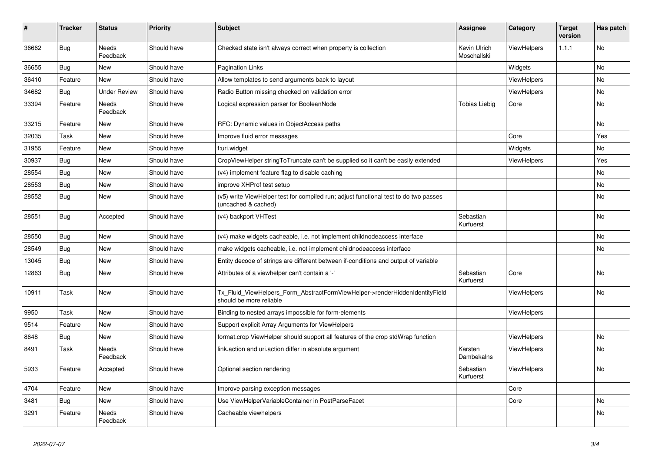| $\vert$ # | <b>Tracker</b> | <b>Status</b>       | <b>Priority</b> | <b>Subject</b>                                                                                              | <b>Assignee</b>             | Category           | <b>Target</b><br>version | Has patch |
|-----------|----------------|---------------------|-----------------|-------------------------------------------------------------------------------------------------------------|-----------------------------|--------------------|--------------------------|-----------|
| 36662     | <b>Bug</b>     | Needs<br>Feedback   | Should have     | Checked state isn't always correct when property is collection                                              | Kevin Ulrich<br>Moschallski | ViewHelpers        | 1.1.1                    | <b>No</b> |
| 36655     | Bug            | New                 | Should have     | <b>Pagination Links</b>                                                                                     |                             | Widgets            |                          | No        |
| 36410     | Feature        | <b>New</b>          | Should have     | Allow templates to send arguments back to layout                                                            |                             | <b>ViewHelpers</b> |                          | No        |
| 34682     | Bug            | <b>Under Review</b> | Should have     | Radio Button missing checked on validation error                                                            |                             | ViewHelpers        |                          | <b>No</b> |
| 33394     | Feature        | Needs<br>Feedback   | Should have     | Logical expression parser for BooleanNode                                                                   | <b>Tobias Liebig</b>        | Core               |                          | No        |
| 33215     | Feature        | New                 | Should have     | RFC: Dynamic values in ObjectAccess paths                                                                   |                             |                    |                          | No        |
| 32035     | Task           | New                 | Should have     | Improve fluid error messages                                                                                |                             | Core               |                          | Yes       |
| 31955     | Feature        | New                 | Should have     | f:uri.widget                                                                                                |                             | Widgets            |                          | No        |
| 30937     | Bug            | New                 | Should have     | CropViewHelper stringToTruncate can't be supplied so it can't be easily extended                            |                             | <b>ViewHelpers</b> |                          | Yes       |
| 28554     | <b>Bug</b>     | New                 | Should have     | (v4) implement feature flag to disable caching                                                              |                             |                    |                          | No        |
| 28553     | Bug            | New                 | Should have     | improve XHProf test setup                                                                                   |                             |                    |                          | No        |
| 28552     | Bug            | New                 | Should have     | (v5) write ViewHelper test for compiled run; adjust functional test to do two passes<br>(uncached & cached) |                             |                    |                          | No        |
| 28551     | Bug            | Accepted            | Should have     | (v4) backport VHTest                                                                                        | Sebastian<br>Kurfuerst      |                    |                          | <b>No</b> |
| 28550     | Bug            | New                 | Should have     | (v4) make widgets cacheable, i.e. not implement childnodeaccess interface                                   |                             |                    |                          | <b>No</b> |
| 28549     | Bug            | New                 | Should have     | make widgets cacheable, i.e. not implement childnodeaccess interface                                        |                             |                    |                          | No        |
| 13045     | <b>Bug</b>     | <b>New</b>          | Should have     | Entity decode of strings are different between if-conditions and output of variable                         |                             |                    |                          |           |
| 12863     | <b>Bug</b>     | New                 | Should have     | Attributes of a viewhelper can't contain a '-'                                                              | Sebastian<br>Kurfuerst      | Core               |                          | <b>No</b> |
| 10911     | Task           | New                 | Should have     | Tx Fluid ViewHelpers Form AbstractFormViewHelper->renderHiddenIdentityField<br>should be more reliable      |                             | <b>ViewHelpers</b> |                          | No        |
| 9950      | Task           | New                 | Should have     | Binding to nested arrays impossible for form-elements                                                       |                             | ViewHelpers        |                          |           |
| 9514      | Feature        | New                 | Should have     | Support explicit Array Arguments for ViewHelpers                                                            |                             |                    |                          |           |
| 8648      | <b>Bug</b>     | New                 | Should have     | format.crop ViewHelper should support all features of the crop stdWrap function                             |                             | ViewHelpers        |                          | No        |
| 8491      | Task           | Needs<br>Feedback   | Should have     | link.action and uri.action differ in absolute argument                                                      | Karsten<br>Dambekalns       | <b>ViewHelpers</b> |                          | No        |
| 5933      | Feature        | Accepted            | Should have     | Optional section rendering                                                                                  | Sebastian<br>Kurfuerst      | <b>ViewHelpers</b> |                          | <b>No</b> |
| 4704      | Feature        | New                 | Should have     | Improve parsing exception messages                                                                          |                             | Core               |                          |           |
| 3481      | Bug            | New                 | Should have     | Use ViewHelperVariableContainer in PostParseFacet                                                           |                             | Core               |                          | No        |
| 3291      | Feature        | Needs<br>Feedback   | Should have     | Cacheable viewhelpers                                                                                       |                             |                    |                          | No        |